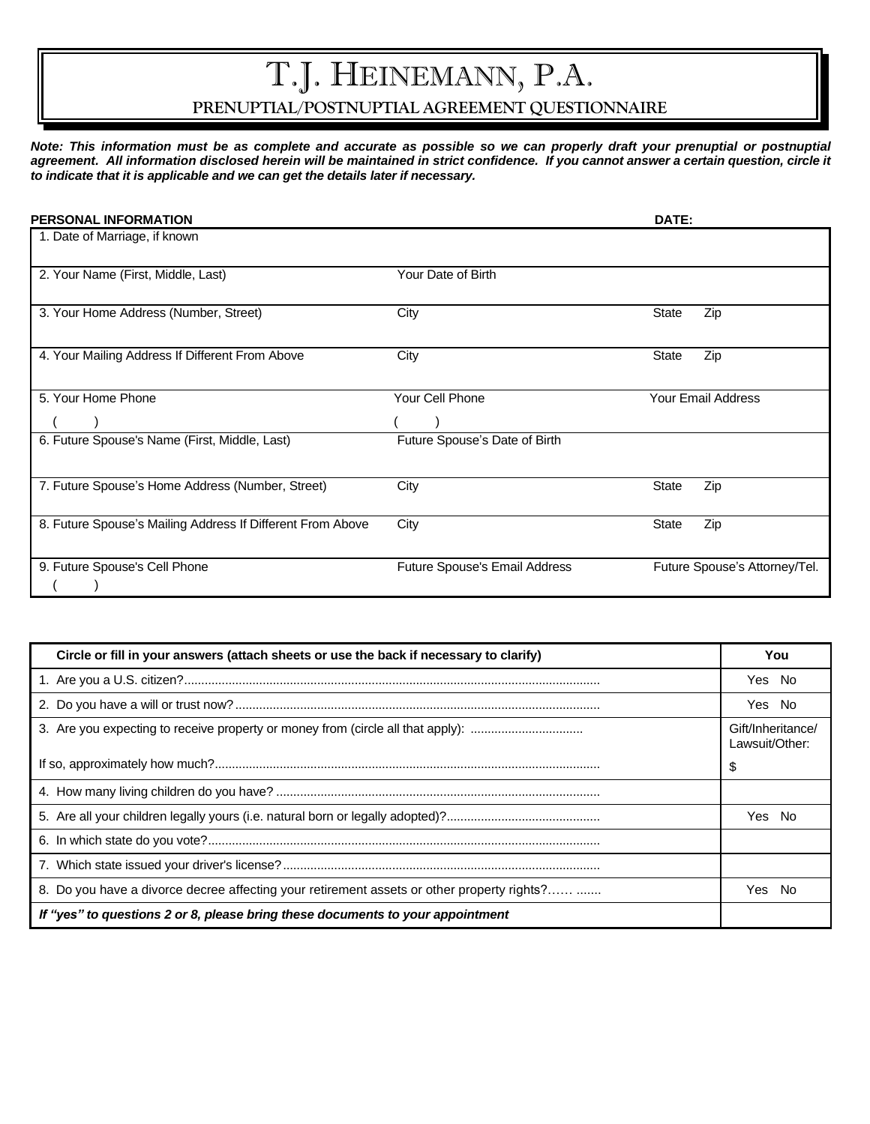# T.J. HEINEMANN, P.A.

## **PRENUPTIAL/POSTNUPTIAL AGREEMENT QUESTIONNAIRE**

*Note: This information must be as complete and accurate as possible so we can properly draft your prenuptial or postnuptial agreement. All information disclosed herein will be maintained in strict confidence. If you cannot answer a certain question, circle it to indicate that it is applicable and we can get the details later if necessary.*

| <b>PERSONAL INFORMATION</b>                                |                               | DATE:                         |
|------------------------------------------------------------|-------------------------------|-------------------------------|
| 1. Date of Marriage, if known                              |                               |                               |
| 2. Your Name (First, Middle, Last)                         | Your Date of Birth            |                               |
| 3. Your Home Address (Number, Street)                      | City                          | State<br>Zip                  |
| 4. Your Mailing Address If Different From Above            | City                          | Zip<br>State                  |
| 5. Your Home Phone                                         | Your Cell Phone               | <b>Your Email Address</b>     |
|                                                            |                               |                               |
| 6. Future Spouse's Name (First, Middle, Last)              | Future Spouse's Date of Birth |                               |
| 7. Future Spouse's Home Address (Number, Street)           | City                          | Zip<br>State                  |
| 8. Future Spouse's Mailing Address If Different From Above | City                          | <b>State</b><br>Zip           |
| 9. Future Spouse's Cell Phone                              | Future Spouse's Email Address | Future Spouse's Attorney/Tel. |

| Circle or fill in your answers (attach sheets or use the back if necessary to clarify)     | You                                 |
|--------------------------------------------------------------------------------------------|-------------------------------------|
|                                                                                            | Yes No                              |
|                                                                                            | Yes No                              |
| 3. Are you expecting to receive property or money from (circle all that apply):            | Gift/Inheritance/<br>Lawsuit/Other: |
|                                                                                            | \$                                  |
|                                                                                            |                                     |
|                                                                                            | - No<br>Yes                         |
|                                                                                            |                                     |
|                                                                                            |                                     |
| 8. Do you have a divorce decree affecting your retirement assets or other property rights? | No.<br>Yes                          |
| If "yes" to questions 2 or 8, please bring these documents to your appointment             |                                     |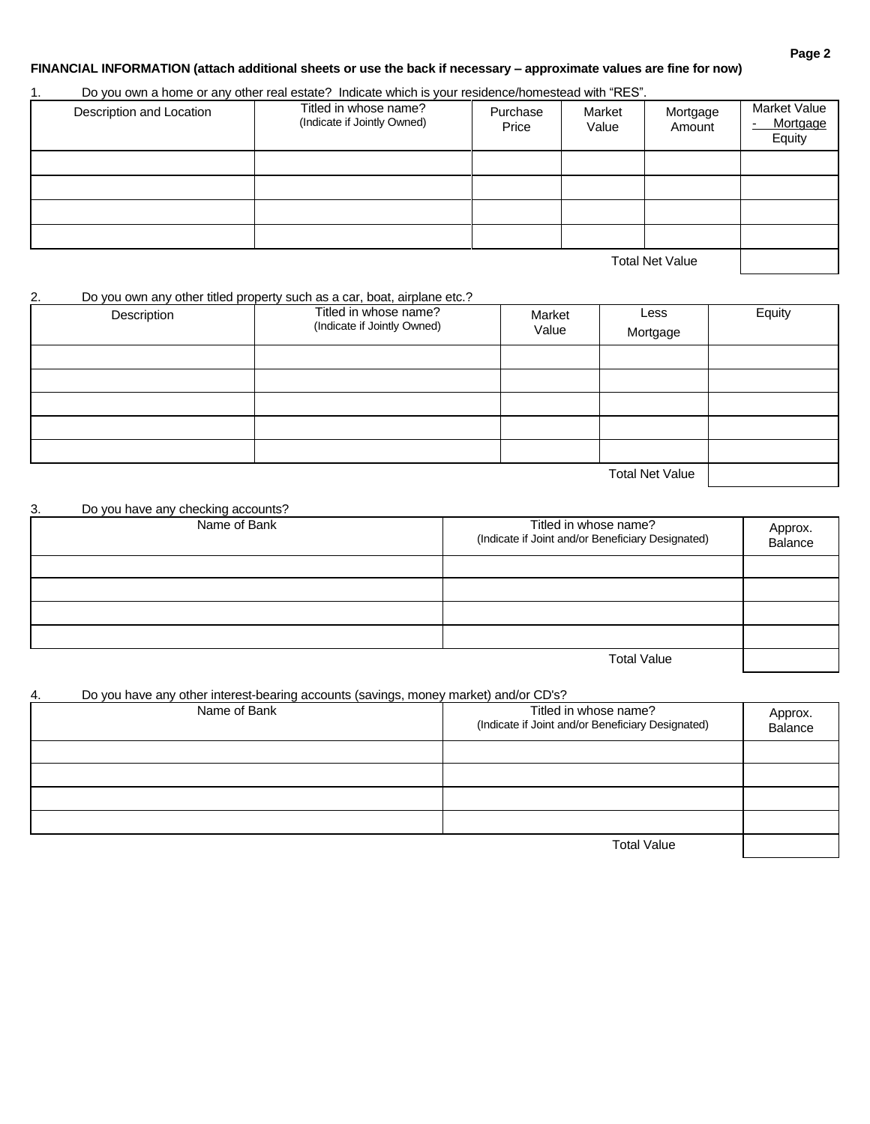#### **Page 2**

#### **FINANCIAL INFORMATION (attach additional sheets or use the back if necessary – approximate values are fine for now)**

#### 1. Do you own a home or any other real estate? Indicate which is your residence/homestead with "RES".

| Description and Location | Titled in whose name?<br>(Indicate if Jointly Owned) | Purchase<br>Price | Market<br>Value | Mortgage<br>Amount | Market Value<br>Mortgage<br>$\overline{\phantom{a}}$<br>Equity |
|--------------------------|------------------------------------------------------|-------------------|-----------------|--------------------|----------------------------------------------------------------|
|                          |                                                      |                   |                 |                    |                                                                |
|                          |                                                      |                   |                 |                    |                                                                |
|                          |                                                      |                   |                 |                    |                                                                |
|                          |                                                      |                   |                 |                    |                                                                |
|                          |                                                      |                   |                 | _                  |                                                                |

Total Net Value

#### 2. Do you own any other titled property such as a car, boat, airplane etc.?

| Description | Titled in whose name?<br>(Indicate if Jointly Owned) | Market<br>Value | Less<br>Mortgage       | Equity |
|-------------|------------------------------------------------------|-----------------|------------------------|--------|
|             |                                                      |                 |                        |        |
|             |                                                      |                 |                        |        |
|             |                                                      |                 |                        |        |
|             |                                                      |                 |                        |        |
|             |                                                      |                 |                        |        |
|             |                                                      |                 | <b>Total Net Value</b> |        |

#### 3. Do you have any checking accounts?

| Name of Bank | Titled in whose name?<br>(Indicate if Joint and/or Beneficiary Designated) | Approx.<br>Balance |
|--------------|----------------------------------------------------------------------------|--------------------|
|              |                                                                            |                    |
|              |                                                                            |                    |
|              |                                                                            |                    |
|              |                                                                            |                    |

Total Value

#### 4. Do you have any other interest-bearing accounts (savings, money market) and/or CD's?

| Name of Bank | Titled in whose name?<br>(Indicate if Joint and/or Beneficiary Designated) | Approx.<br>Balance |
|--------------|----------------------------------------------------------------------------|--------------------|
|              |                                                                            |                    |
|              |                                                                            |                    |
|              |                                                                            |                    |
|              |                                                                            |                    |
|              |                                                                            |                    |
|              | .                                                                          |                    |

Total Value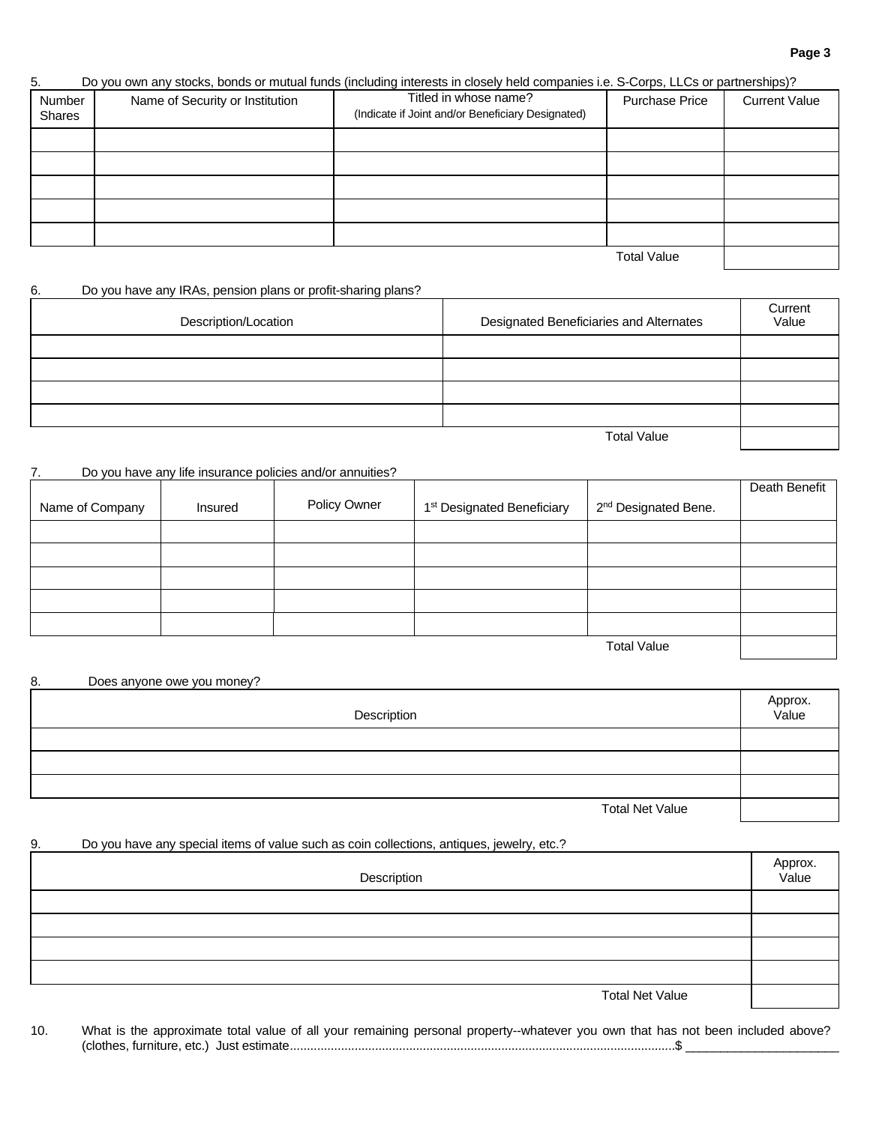#### **Page 3**

## 5. Do you own any stocks, bonds or mutual funds (including interests in closely held companies i.e. S-Corps, LLCs or partnerships)?

| Number<br>Shares | Name of Security or Institution | Titled in whose name?<br>(Indicate if Joint and/or Beneficiary Designated) | <b>Purchase Price</b> | <b>Current Value</b> |
|------------------|---------------------------------|----------------------------------------------------------------------------|-----------------------|----------------------|
|                  |                                 |                                                                            |                       |                      |
|                  |                                 |                                                                            |                       |                      |
|                  |                                 |                                                                            |                       |                      |
|                  |                                 |                                                                            |                       |                      |
|                  |                                 |                                                                            |                       |                      |
|                  |                                 |                                                                            | <b>Total Value</b>    |                      |

### 6. Do you have any IRAs, pension plans or profit-sharing plans?

| Description/Location | Designated Beneficiaries and Alternates | Current<br>Value |
|----------------------|-----------------------------------------|------------------|
|                      |                                         |                  |
|                      |                                         |                  |
|                      |                                         |                  |
|                      |                                         |                  |
|                      | <b>Total Value</b>                      |                  |

#### 7. Do you have any life insurance policies and/or annuities?

|                 |         |              |                                        |                                  | Death Benefit |
|-----------------|---------|--------------|----------------------------------------|----------------------------------|---------------|
| Name of Company | Insured | Policy Owner | 1 <sup>st</sup> Designated Beneficiary | 2 <sup>nd</sup> Designated Bene. |               |
|                 |         |              |                                        |                                  |               |
|                 |         |              |                                        |                                  |               |
|                 |         |              |                                        |                                  |               |
|                 |         |              |                                        |                                  |               |
|                 |         |              |                                        |                                  |               |
|                 |         |              |                                        | <b>Total Value</b>               |               |

| 8. | Does anyone owe you money? |                  |
|----|----------------------------|------------------|
|    | Description                | Approx.<br>Value |
|    |                            |                  |
|    |                            |                  |
|    |                            |                  |
|    | <b>Total Net Value</b>     |                  |

#### 9. Do you have any special items of value such as coin collections, antiques, jewelry, etc.?

| Description            | Approx.<br>Value |
|------------------------|------------------|
|                        |                  |
|                        |                  |
|                        |                  |
|                        |                  |
| <b>Total Net Value</b> |                  |

10. What is the approximate total value of all your remaining personal property--whatever you own that has not been included above? (clothes, furniture, etc.) Just estimate.................................................................................................................\$ \_\_\_\_\_\_\_\_\_\_\_\_\_\_\_\_\_\_\_\_\_\_